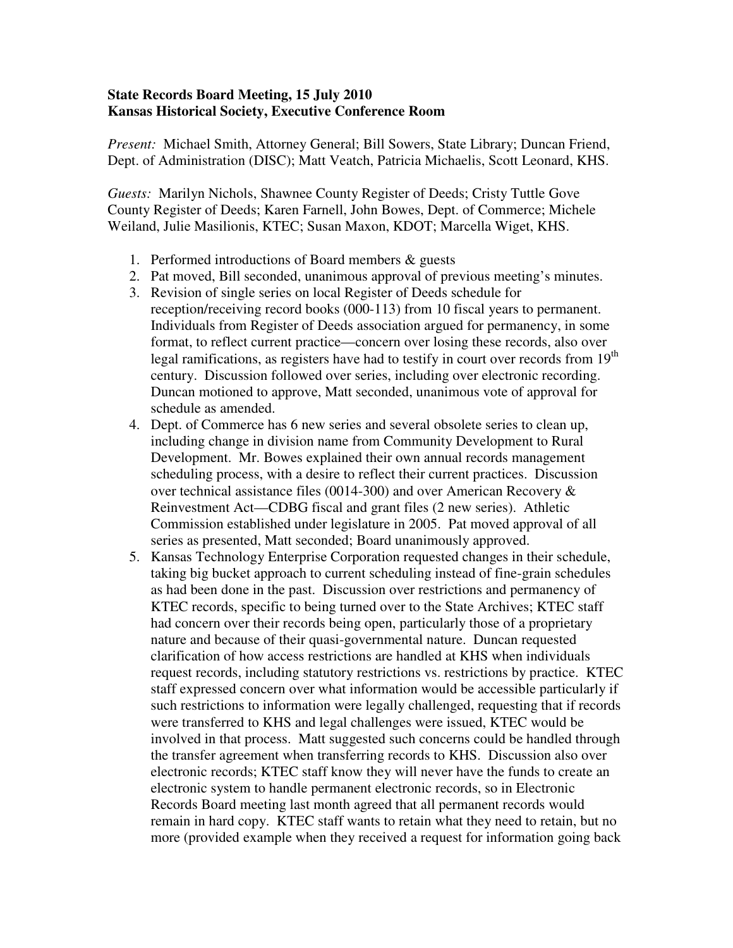## **State Records Board Meeting, 15 July 2010 Kansas Historical Society, Executive Conference Room**

*Present:* Michael Smith, Attorney General; Bill Sowers, State Library; Duncan Friend, Dept. of Administration (DISC); Matt Veatch, Patricia Michaelis, Scott Leonard, KHS.

*Guests:* Marilyn Nichols, Shawnee County Register of Deeds; Cristy Tuttle Gove County Register of Deeds; Karen Farnell, John Bowes, Dept. of Commerce; Michele Weiland, Julie Masilionis, KTEC; Susan Maxon, KDOT; Marcella Wiget, KHS.

- 1. Performed introductions of Board members & guests
- 2. Pat moved, Bill seconded, unanimous approval of previous meeting's minutes.
- 3. Revision of single series on local Register of Deeds schedule for reception/receiving record books (000-113) from 10 fiscal years to permanent. Individuals from Register of Deeds association argued for permanency, in some format, to reflect current practice—concern over losing these records, also over legal ramifications, as registers have had to testify in court over records from 19<sup>th</sup> century. Discussion followed over series, including over electronic recording. Duncan motioned to approve, Matt seconded, unanimous vote of approval for schedule as amended.
- 4. Dept. of Commerce has 6 new series and several obsolete series to clean up, including change in division name from Community Development to Rural Development. Mr. Bowes explained their own annual records management scheduling process, with a desire to reflect their current practices. Discussion over technical assistance files (0014-300) and over American Recovery & Reinvestment Act—CDBG fiscal and grant files (2 new series). Athletic Commission established under legislature in 2005. Pat moved approval of all series as presented, Matt seconded; Board unanimously approved.
- 5. Kansas Technology Enterprise Corporation requested changes in their schedule, taking big bucket approach to current scheduling instead of fine-grain schedules as had been done in the past. Discussion over restrictions and permanency of KTEC records, specific to being turned over to the State Archives; KTEC staff had concern over their records being open, particularly those of a proprietary nature and because of their quasi-governmental nature. Duncan requested clarification of how access restrictions are handled at KHS when individuals request records, including statutory restrictions vs. restrictions by practice. KTEC staff expressed concern over what information would be accessible particularly if such restrictions to information were legally challenged, requesting that if records were transferred to KHS and legal challenges were issued, KTEC would be involved in that process. Matt suggested such concerns could be handled through the transfer agreement when transferring records to KHS. Discussion also over electronic records; KTEC staff know they will never have the funds to create an electronic system to handle permanent electronic records, so in Electronic Records Board meeting last month agreed that all permanent records would remain in hard copy. KTEC staff wants to retain what they need to retain, but no more (provided example when they received a request for information going back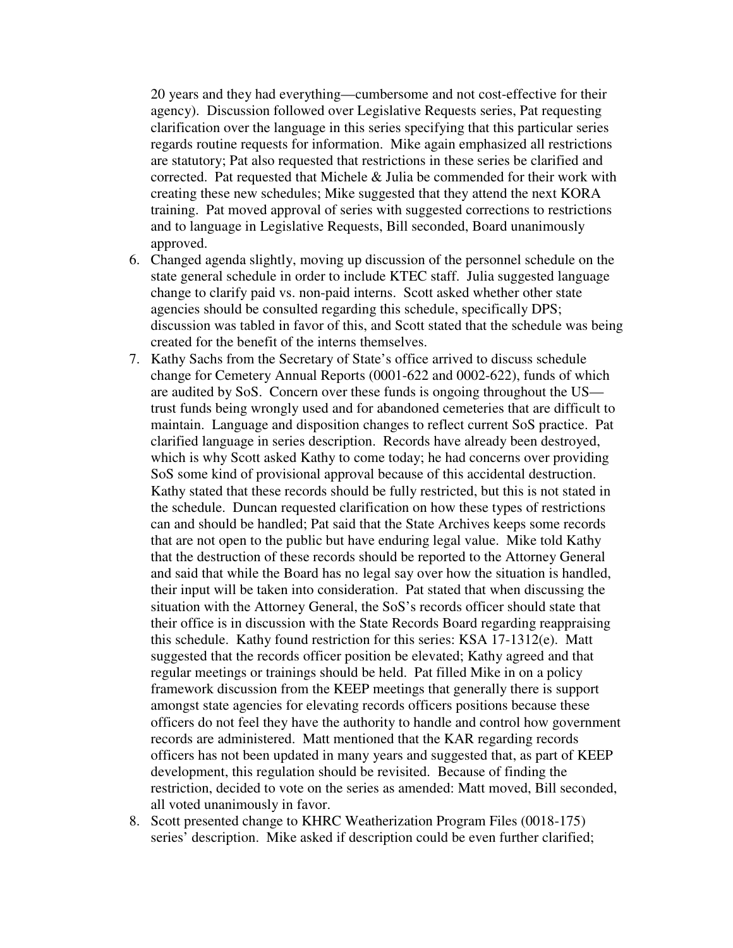20 years and they had everything—cumbersome and not cost-effective for their agency). Discussion followed over Legislative Requests series, Pat requesting clarification over the language in this series specifying that this particular series regards routine requests for information. Mike again emphasized all restrictions are statutory; Pat also requested that restrictions in these series be clarified and corrected. Pat requested that Michele & Julia be commended for their work with creating these new schedules; Mike suggested that they attend the next KORA training. Pat moved approval of series with suggested corrections to restrictions and to language in Legislative Requests, Bill seconded, Board unanimously approved.

- 6. Changed agenda slightly, moving up discussion of the personnel schedule on the state general schedule in order to include KTEC staff. Julia suggested language change to clarify paid vs. non-paid interns. Scott asked whether other state agencies should be consulted regarding this schedule, specifically DPS; discussion was tabled in favor of this, and Scott stated that the schedule was being created for the benefit of the interns themselves.
- 7. Kathy Sachs from the Secretary of State's office arrived to discuss schedule change for Cemetery Annual Reports (0001-622 and 0002-622), funds of which are audited by SoS. Concern over these funds is ongoing throughout the US trust funds being wrongly used and for abandoned cemeteries that are difficult to maintain. Language and disposition changes to reflect current SoS practice. Pat clarified language in series description. Records have already been destroyed, which is why Scott asked Kathy to come today; he had concerns over providing SoS some kind of provisional approval because of this accidental destruction. Kathy stated that these records should be fully restricted, but this is not stated in the schedule. Duncan requested clarification on how these types of restrictions can and should be handled; Pat said that the State Archives keeps some records that are not open to the public but have enduring legal value. Mike told Kathy that the destruction of these records should be reported to the Attorney General and said that while the Board has no legal say over how the situation is handled, their input will be taken into consideration. Pat stated that when discussing the situation with the Attorney General, the SoS's records officer should state that their office is in discussion with the State Records Board regarding reappraising this schedule. Kathy found restriction for this series: KSA 17-1312(e). Matt suggested that the records officer position be elevated; Kathy agreed and that regular meetings or trainings should be held. Pat filled Mike in on a policy framework discussion from the KEEP meetings that generally there is support amongst state agencies for elevating records officers positions because these officers do not feel they have the authority to handle and control how government records are administered. Matt mentioned that the KAR regarding records officers has not been updated in many years and suggested that, as part of KEEP development, this regulation should be revisited. Because of finding the restriction, decided to vote on the series as amended: Matt moved, Bill seconded, all voted unanimously in favor.
- 8. Scott presented change to KHRC Weatherization Program Files (0018-175) series' description. Mike asked if description could be even further clarified;